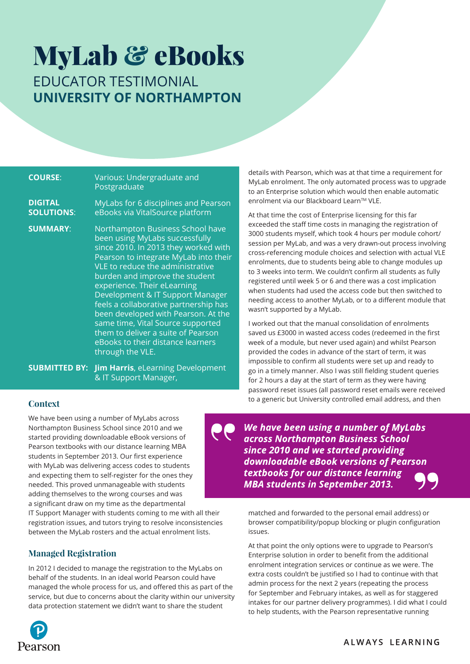# MyLab & eBooks EDUCATOR TESTIMONIAL **University of Northampton**

| <b>COURSE:</b>                      | Various: Undergraduate and<br>Postgraduate                                                                                                                                                                                                                                                                                                                                                                                                                                                                       |
|-------------------------------------|------------------------------------------------------------------------------------------------------------------------------------------------------------------------------------------------------------------------------------------------------------------------------------------------------------------------------------------------------------------------------------------------------------------------------------------------------------------------------------------------------------------|
| <b>DIGITAL</b><br><b>SOLUTIONS:</b> | MyLabs for 6 disciplines and Pearson<br>eBooks via VitalSource platform                                                                                                                                                                                                                                                                                                                                                                                                                                          |
| <b>SUMMARY:</b>                     | Northampton Business School have<br>been using MyLabs successfully<br>since 2010. In 2013 they worked with<br>Pearson to integrate MyLab into their<br>VLE to reduce the administrative<br>burden and improve the student<br>experience. Their eLearning<br>Development & IT Support Manager<br>feels a collaborative partnership has<br>been developed with Pearson. At the<br>same time, Vital Source supported<br>them to deliver a suite of Pearson<br>eBooks to their distance learners<br>through the VLE. |

**SUBMITTED BY: Jim Harris, eLearning Development** & IT Support Manager,

details with Pearson, which was at that time a requirement for MyLab enrolment. The only automated process was to upgrade to an Enterprise solution which would then enable automatic enrolment via our Blackboard Learn™ VLE.

At that time the cost of Enterprise licensing for this far exceeded the staff time costs in managing the registration of 3000 students myself, which took 4 hours per module cohort/ session per MyLab, and was a very drawn-out process involving cross-referencing module choices and selection with actual VLE enrolments, due to students being able to change modules up to 3 weeks into term. We couldn't confirm all students as fully registered until week 5 or 6 and there was a cost implication when students had used the access code but then switched to needing access to another MyLab, or to a different module that wasn't supported by a MyLab.

I worked out that the manual consolidation of enrolments saved us £3000 in wasted access codes (redeemed in the first week of a module, but never used again) and whilst Pearson provided the codes in advance of the start of term, it was impossible to confirm all students were set up and ready to go in a timely manner. Also I was still fielding student queries for 2 hours a day at the start of term as they were having password reset issues (all password reset emails were received to a generic but University controlled email address, and then

# **Context**

We have been using a number of MyLabs across Northampton Business School since 2010 and we started providing downloadable eBook versions of Pearson textbooks with our distance learning MBA students in September 2013. Our first experience with MyLab was delivering access codes to students and expecting them to self-register for the ones they needed. This proved unmanageable with students adding themselves to the wrong courses and was a significant draw on my time as the departmental

IT Support Manager with students coming to me with all their registration issues, and tutors trying to resolve inconsistencies between the MyLab rosters and the actual enrolment lists.

# **Managed Registration**

In 2012 I decided to manage the registration to the MyLabs on behalf of the students. In an ideal world Pearson could have managed the whole process for us, and offered this as part of the service, but due to concerns about the clarity within our university data protection statement we didn't want to share the student

We have been using a number of MyLabs across Northampton Business School since 2010 and we started providing downloadable eBook versions of Pearson textbooks for our distance learning **MBA students in September 2013.** 

matched and forwarded to the personal email address) or browser compatibility/popup blocking or plugin configuration issues.

At that point the only options were to upgrade to Pearson's Enterprise solution in order to benefit from the additional enrolment integration services or continue as we were. The extra costs couldn't be justified so I had to continue with that admin process for the next 2 years (repeating the process for September and February intakes, as well as for staggered intakes for our partner delivery programmes). I did what I could to help students, with the Pearson representative running